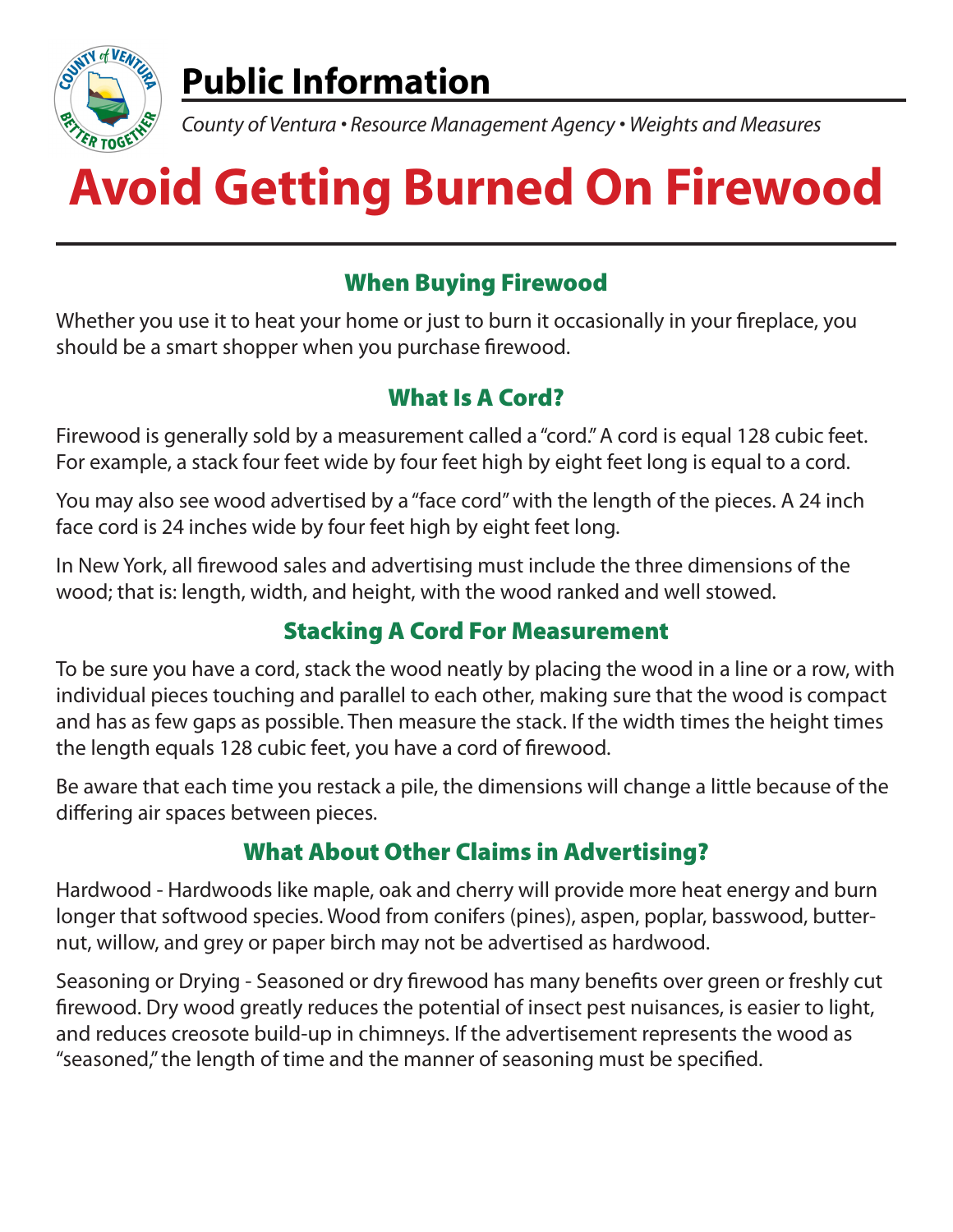

# **Public Information**

*County of Ventura • Resource Management Agency • Weights and Measures*

# **Avoid Getting Burned On Firewood**

#### When Buying Firewood

Whether you use it to heat your home or just to burn it occasionally in your fireplace, you should be a smart shopper when you purchase firewood.

#### What Is A Cord?

Firewood is generally sold by a measurement called a "cord." A cord is equal 128 cubic feet. For example, a stack four feet wide by four feet high by eight feet long is equal to a cord.

You may also see wood advertised by a "face cord" with the length of the pieces. A 24 inch face cord is 24 inches wide by four feet high by eight feet long.

In New York, all firewood sales and advertising must include the three dimensions of the wood; that is: length, width, and height, with the wood ranked and well stowed.

## Stacking A Cord For Measurement

To be sure you have a cord, stack the wood neatly by placing the wood in a line or a row, with individual pieces touching and parallel to each other, making sure that the wood is compact and has as few gaps as possible. Then measure the stack. If the width times the height times the length equals 128 cubic feet, you have a cord of firewood.

Be aware that each time you restack a pile, the dimensions will change a little because of the differing air spaces between pieces.

#### What About Other Claims in Advertising?

Hardwood - Hardwoods like maple, oak and cherry will provide more heat energy and burn longer that softwood species. Wood from conifers (pines), aspen, poplar, basswood, butternut, willow, and grey or paper birch may not be advertised as hardwood.

Seasoning or Drying - Seasoned or dry firewood has many benefits over green or freshly cut firewood. Dry wood greatly reduces the potential of insect pest nuisances, is easier to light, and reduces creosote build-up in chimneys. If the advertisement represents the wood as "seasoned," the length of time and the manner of seasoning must be specified.